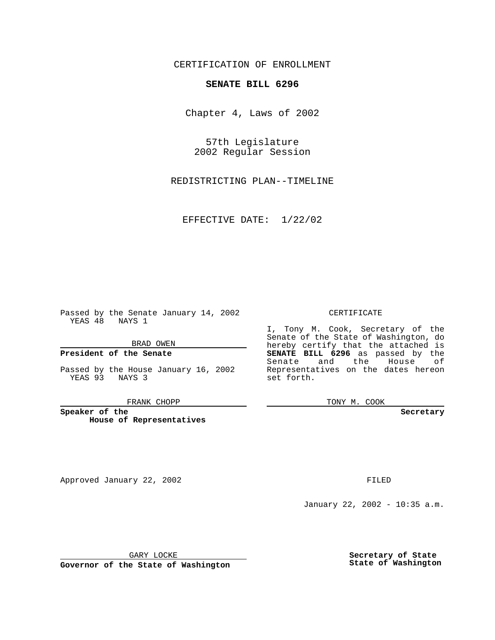CERTIFICATION OF ENROLLMENT

# **SENATE BILL 6296**

Chapter 4, Laws of 2002

57th Legislature 2002 Regular Session

REDISTRICTING PLAN--TIMELINE

EFFECTIVE DATE: 1/22/02

Passed by the Senate January 14, 2002 YEAS 48 NAYS 1

#### BRAD OWEN

## **President of the Senate**

Passed by the House January 16, 2002 YEAS 93 NAYS 3

FRANK CHOPP

**Speaker of the House of Representatives**

Approved January 22, 2002 **FILED** 

### CERTIFICATE

I, Tony M. Cook, Secretary of the Senate of the State of Washington, do hereby certify that the attached is **SENATE BILL 6296** as passed by the Senate and the House of Representatives on the dates hereon set forth.

TONY M. COOK

**Secretary**

January 22, 2002 - 10:35 a.m.

GARY LOCKE

**Governor of the State of Washington**

**Secretary of State State of Washington**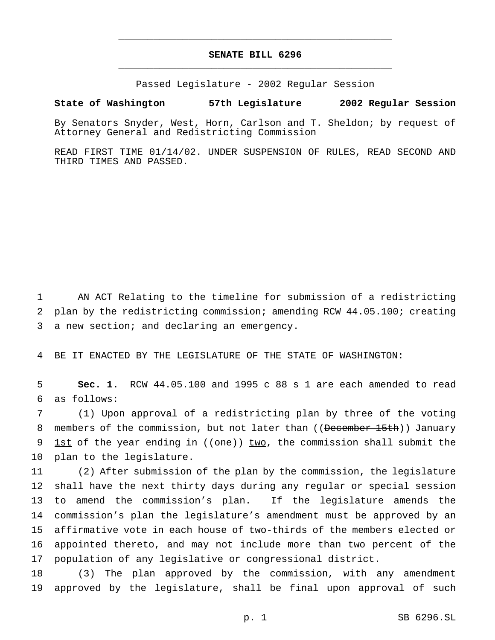# **SENATE BILL 6296** \_\_\_\_\_\_\_\_\_\_\_\_\_\_\_\_\_\_\_\_\_\_\_\_\_\_\_\_\_\_\_\_\_\_\_\_\_\_\_\_\_\_\_\_\_\_\_

\_\_\_\_\_\_\_\_\_\_\_\_\_\_\_\_\_\_\_\_\_\_\_\_\_\_\_\_\_\_\_\_\_\_\_\_\_\_\_\_\_\_\_\_\_\_\_

Passed Legislature - 2002 Regular Session

### **State of Washington 57th Legislature 2002 Regular Session**

By Senators Snyder, West, Horn, Carlson and T. Sheldon; by request of Attorney General and Redistricting Commission

READ FIRST TIME 01/14/02. UNDER SUSPENSION OF RULES, READ SECOND AND THIRD TIMES AND PASSED.

1 AN ACT Relating to the timeline for submission of a redistricting 2 plan by the redistricting commission; amending RCW 44.05.100; creating 3 a new section; and declaring an emergency.

4 BE IT ENACTED BY THE LEGISLATURE OF THE STATE OF WASHINGTON:

5 **Sec. 1.** RCW 44.05.100 and 1995 c 88 s 1 are each amended to read 6 as follows:

7 (1) Upon approval of a redistricting plan by three of the voting 8 members of the commission, but not later than ((December 15th)) January 9 1st of the year ending in  $((one))$  two, the commission shall submit the 10 plan to the legislature.

 (2) After submission of the plan by the commission, the legislature shall have the next thirty days during any regular or special session to amend the commission's plan. If the legislature amends the commission's plan the legislature's amendment must be approved by an affirmative vote in each house of two-thirds of the members elected or appointed thereto, and may not include more than two percent of the population of any legislative or congressional district.

18 (3) The plan approved by the commission, with any amendment 19 approved by the legislature, shall be final upon approval of such